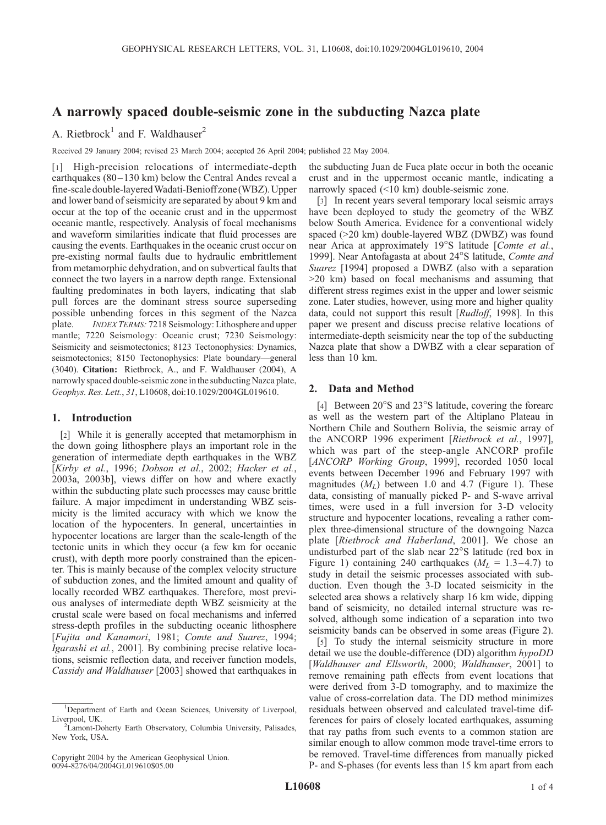# A narrowly spaced double-seismic zone in the subducting Nazca plate

A. Rietbrock<sup>1</sup> and F. Waldhauser<sup>2</sup>

Received 29 January 2004; revised 23 March 2004; accepted 26 April 2004; published 22 May 2004.

[1] High-precision relocations of intermediate-depth earthquakes  $(80 - 130 \text{ km})$  below the Central Andes reveal a fine-scale double-layeredWadati-Benioff zone (WBZ).Upper and lower band of seismicity are separated by about 9 km and occur at the top of the oceanic crust and in the uppermost oceanic mantle, respectively. Analysis of focal mechanisms and waveform similarities indicate that fluid processes are causing the events. Earthquakes in the oceanic crust occur on pre-existing normal faults due to hydraulic embrittlement from metamorphic dehydration, and on subvertical faults that connect the two layers in a narrow depth range. Extensional faulting predominates in both layers, indicating that slab pull forces are the dominant stress source superseding possible unbending forces in this segment of the Nazca plate. INDEX TERMS: 7218 Seismology: Lithosphere and upper mantle; 7220 Seismology: Oceanic crust; 7230 Seismology: Seismicity and seismotectonics; 8123 Tectonophysics: Dynamics, seismotectonics; 8150 Tectonophysics: Plate boundary—general (3040). Citation: Rietbrock, A., and F. Waldhauser (2004), A narrowly spaced double-seismic zone in the subducting Nazca plate, Geophys. Res. Lett., 31, L10608, doi:10.1029/2004GL019610.

# 1. Introduction

[2] While it is generally accepted that metamorphism in the down going lithosphere plays an important role in the generation of intermediate depth earthquakes in the WBZ [Kirby et al., 1996; Dobson et al., 2002; Hacker et al., 2003a, 2003b], views differ on how and where exactly within the subducting plate such processes may cause brittle failure. A major impediment in understanding WBZ seismicity is the limited accuracy with which we know the location of the hypocenters. In general, uncertainties in hypocenter locations are larger than the scale-length of the tectonic units in which they occur (a few km for oceanic crust), with depth more poorly constrained than the epicenter. This is mainly because of the complex velocity structure of subduction zones, and the limited amount and quality of locally recorded WBZ earthquakes. Therefore, most previous analyses of intermediate depth WBZ seismicity at the crustal scale were based on focal mechanisms and inferred stress-depth profiles in the subducting oceanic lithosphere [Fujita and Kanamori, 1981; Comte and Suarez, 1994; Igarashi et al., 2001]. By combining precise relative locations, seismic reflection data, and receiver function models, Cassidy and Waldhauser [2003] showed that earthquakes in

Copyright 2004 by the American Geophysical Union. 0094-8276/04/2004GL019610\$05.00

the subducting Juan de Fuca plate occur in both the oceanic crust and in the uppermost oceanic mantle, indicating a narrowly spaced (<10 km) double-seismic zone.

[3] In recent years several temporary local seismic arrays have been deployed to study the geometry of the WBZ below South America. Evidence for a conventional widely spaced (>20 km) double-layered WBZ (DWBZ) was found near Arica at approximately 19°S latitude [Comte et al., 1999]. Near Antofagasta at about 24°S latitude, Comte and Suarez [1994] proposed a DWBZ (also with a separation >20 km) based on focal mechanisms and assuming that different stress regimes exist in the upper and lower seismic zone. Later studies, however, using more and higher quality data, could not support this result [Rudloff, 1998]. In this paper we present and discuss precise relative locations of intermediate-depth seismicity near the top of the subducting Nazca plate that show a DWBZ with a clear separation of less than 10 km.

# 2. Data and Method

[4] Between  $20^{\circ}$ S and  $23^{\circ}$ S latitude, covering the forearc as well as the western part of the Altiplano Plateau in Northern Chile and Southern Bolivia, the seismic array of the ANCORP 1996 experiment [Rietbrock et al., 1997], which was part of the steep-angle ANCORP profile [ANCORP Working Group, 1999], recorded 1050 local events between December 1996 and February 1997 with magnitudes  $(M_L)$  between 1.0 and 4.7 (Figure 1). These data, consisting of manually picked P- and S-wave arrival times, were used in a full inversion for 3-D velocity structure and hypocenter locations, revealing a rather complex three-dimensional structure of the downgoing Nazca plate [Rietbrock and Haberland, 2001]. We chose an undisturbed part of the slab near  $22^{\circ}$ S latitude (red box in Figure 1) containing 240 earthquakes  $(M_L = 1.3-4.7)$  to study in detail the seismic processes associated with subduction. Even though the 3-D located seismicity in the selected area shows a relatively sharp 16 km wide, dipping band of seismicity, no detailed internal structure was resolved, although some indication of a separation into two seismicity bands can be observed in some areas (Figure 2).

[5] To study the internal seismicity structure in more detail we use the double-difference (DD) algorithm  $hypoDD$ [Waldhauser and Ellsworth, 2000; Waldhauser, 2001] to remove remaining path effects from event locations that were derived from 3-D tomography, and to maximize the value of cross-correlation data. The DD method minimizes residuals between observed and calculated travel-time differences for pairs of closely located earthquakes, assuming that ray paths from such events to a common station are similar enough to allow common mode travel-time errors to be removed. Travel-time differences from manually picked P- and S-phases (for events less than 15 km apart from each

<sup>&</sup>lt;sup>1</sup>Department of Earth and Ocean Sciences, University of Liverpool, Liverpool, UK.

Lamont-Doherty Earth Observatory, Columbia University, Palisades, New York, USA.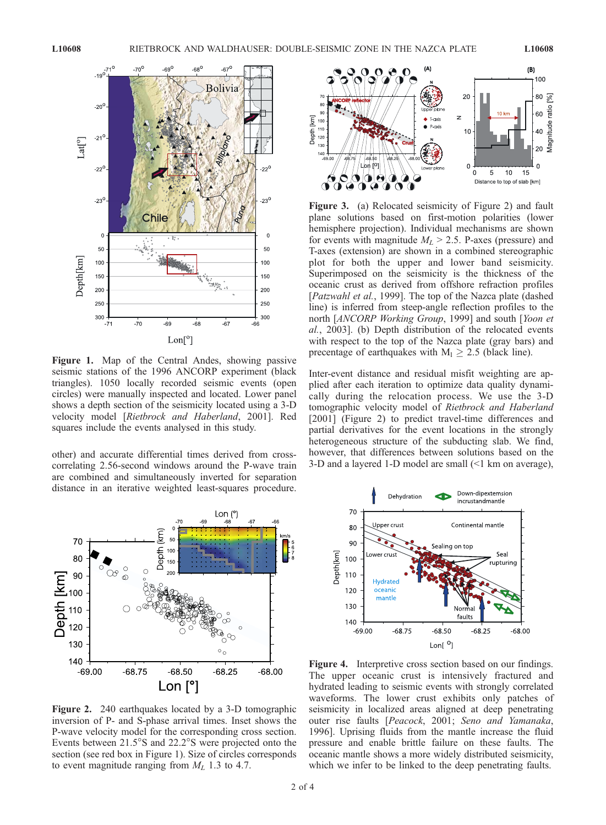

Figure 1. Map of the Central Andes, showing passive seismic stations of the 1996 ANCORP experiment (black triangles). 1050 locally recorded seismic events (open circles) were manually inspected and located. Lower panel shows a depth section of the seismicity located using a 3-D velocity model [Rietbrock and Haberland, 2001]. Red squares include the events analysed in this study.

other) and accurate differential times derived from crosscorrelating 2.56-second windows around the P-wave train are combined and simultaneously inverted for separation distance in an iterative weighted least-squares procedure.



Figure 2. 240 earthquakes located by a 3-D tomographic inversion of P- and S-phase arrival times. Inset shows the P-wave velocity model for the corresponding cross section. Events between  $21.5^{\circ}$ S and  $22.2^{\circ}$ S were projected onto the section (see red box in Figure 1). Size of circles corresponds to event magnitude ranging from  $M_L$  1.3 to 4.7.



Figure 3. (a) Relocated seismicity of Figure 2) and fault plane solutions based on first-motion polarities (lower hemisphere projection). Individual mechanisms are shown for events with magnitude  $M_L > 2.5$ . P-axes (pressure) and T-axes (extension) are shown in a combined stereographic plot for both the upper and lower band seismicity. Superimposed on the seismicity is the thickness of the oceanic crust as derived from offshore refraction profiles [Patzwahl et al., 1999]. The top of the Nazca plate (dashed line) is inferred from steep-angle reflection profiles to the north [ANCORP Working Group, 1999] and south [Yoon et al., 2003]. (b) Depth distribution of the relocated events with respect to the top of the Nazca plate (gray bars) and precentage of earthquakes with  $M_1 \geq 2.5$  (black line).

Inter-event distance and residual misfit weighting are applied after each iteration to optimize data quality dynamically during the relocation process. We use the 3-D tomographic velocity model of Rietbrock and Haberland [2001] (Figure 2) to predict travel-time differences and partial derivatives for the event locations in the strongly heterogeneous structure of the subducting slab. We find, however, that differences between solutions based on the 3-D and a layered 1-D model are small (<1 km on average),



Figure 4. Interpretive cross section based on our findings. The upper oceanic crust is intensively fractured and hydrated leading to seismic events with strongly correlated waveforms. The lower crust exhibits only patches of seismicity in localized areas aligned at deep penetrating outer rise faults [Peacock, 2001; Seno and Yamanaka, 1996]. Uprising fluids from the mantle increase the fluid pressure and enable brittle failure on these faults. The oceanic mantle shows a more widely distributed seismicity, which we infer to be linked to the deep penetrating faults.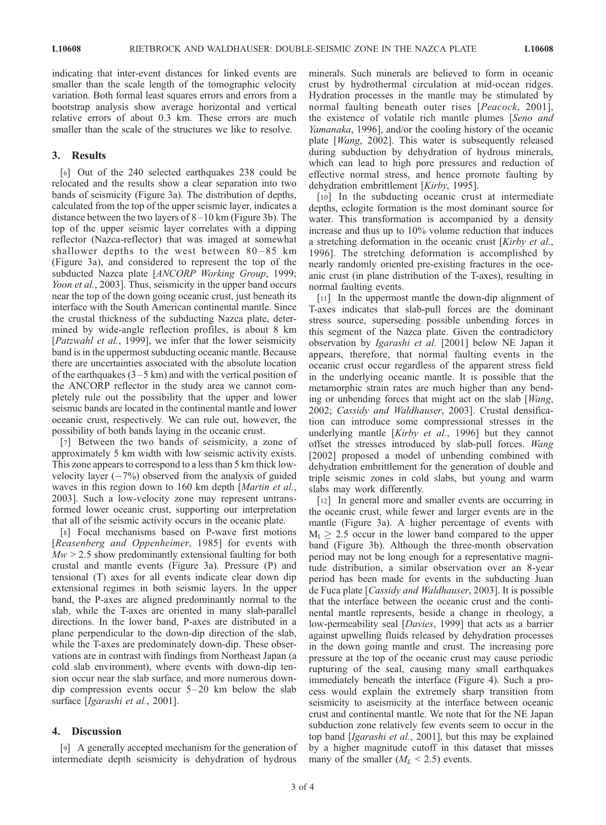indicating that inter-event distances for linked events are smaller than the scale length of the tomographic velocity variation. Both formal least squares errors and errors from a bootstrap analysis show average horizontal and vertical relative errors of about 0.3 km. These errors are much smaller than the scale of the structures we like to resolve.

# 3. Results

[6] Out of the 240 selected earthquakes 238 could be relocated and the results show a clear separation into two bands of seismicity (Figure 3a). The distribution of depths, calculated from the top of the upper seismic layer, indicates a distance between the two layers of  $8-10$  km (Figure 3b). The top of the upper seismic layer correlates with a dipping reflector (Nazca-reflector) that was imaged at somewhat shallower depths to the west between  $80 - 85$  km (Figure 3a), and considered to represent the top of the subducted Nazca plate [ANCORP Working Group, 1999; Yoon et al., 2003]. Thus, seismicity in the upper band occurs near the top of the down going oceanic crust, just beneath its interface with the South American continental mantle. Since the crustal thickness of the subducting Nazca plate, determined by wide-angle reflection profiles, is about 8 km [Patzwahl et al., 1999], we infer that the lower seismicity band is in the uppermost subducting oceanic mantle. Because there are uncertainties associated with the absolute location of the earthquakes  $(3-5 \text{ km})$  and with the vertical position of the ANCORP reflector in the study area we cannot completely rule out the possibility that the upper and lower seismic bands are located in the continental mantle and lower oceanic crust, respectively. We can rule out, however, the possibility of both bands laying in the oceanic crust.

[7] Between the two bands of seismicity, a zone of approximately 5 km width with low seismic activity exists. This zone appears to correspond to a less than 5 km thick lowvelocity layer  $(-7%)$  observed from the analysis of guided waves in this region down to 160 km depth [Martin et al., 2003]. Such a low-velocity zone may represent untransformed lower oceanic crust, supporting our interpretation that all of the seismic activity occurs in the oceanic plate.

[8] Focal mechanisms based on P-wave first motions [Reasenberg and Oppenheimer, 1985] for events with  $Mw > 2.5$  show predominantly extensional faulting for both crustal and mantle events (Figure 3a). Pressure (P) and tensional (T) axes for all events indicate clear down dip extensional regimes in both seismic layers. In the upper band, the P-axes are aligned predominantly normal to the slab, while the T-axes are oriented in many slab-parallel directions. In the lower band, P-axes are distributed in a plane perpendicular to the down-dip direction of the slab, while the T-axes are predominately down-dip. These observations are in contrast with findings from Northeast Japan (a cold slab environment), where events with down-dip tension occur near the slab surface, and more numerous downdip compression events occur  $5-20$  km below the slab surface [*Igarashi et al.*, 2001].

# 4. Discussion

[9] A generally accepted mechanism for the generation of intermediate depth seismicity is dehydration of hydrous

minerals. Such minerals are believed to form in oceanic crust by hydrothermal circulation at mid-ocean ridges. Hydration processes in the mantle may be stimulated by normal faulting beneath outer rises [*Peacock*, 2001], the existence of volatile rich mantle plumes [Seno and Yamanaka, 1996], and/or the cooling history of the oceanic plate [Wang, 2002]. This water is subsequently released during subduction by dehydration of hydrous minerals, which can lead to high pore pressures and reduction of effective normal stress, and hence promote faulting by dehydration embrittlement [Kirby, 1995].

[10] In the subducting oceanic crust at intermediate depths, eclogite formation is the most dominant source for water. This transformation is accompanied by a density increase and thus up to 10% volume reduction that induces a stretching deformation in the oceanic crust [Kirby et al., 1996]. The stretching deformation is accomplished by nearly randomly oriented pre-existing fractures in the oceanic crust (in plane distribution of the T-axes), resulting in normal faulting events.

[11] In the uppermost mantle the down-dip alignment of T-axes indicates that slab-pull forces are the dominant stress source, superseding possible unbending forces in this segment of the Nazca plate. Given the contradictory observation by Igarashi et al. [2001] below NE Japan it appears, therefore, that normal faulting events in the oceanic crust occur regardless of the apparent stress field in the underlying oceanic mantle. It is possible that the metamorphic strain rates are much higher than any bending or unbending forces that might act on the slab [Wang, 2002; Cassidy and Waldhauser, 2003]. Crustal densification can introduce some compressional stresses in the underlying mantle [Kirby et al., 1996] but they cannot offset the stresses introduced by slab-pull forces. Wang [2002] proposed a model of unbending combined with dehydration embrittlement for the generation of double and triple seismic zones in cold slabs, but young and warm slabs may work differently.

[12] In general more and smaller events are occurring in the oceanic crust, while fewer and larger events are in the mantle (Figure 3a). A higher percentage of events with  $M_1 \geq 2.5$  occur in the lower band compared to the upper band (Figure 3b). Although the three-month observation period may not be long enough for a representative magnitude distribution, a similar observation over an 8-year period has been made for events in the subducting Juan de Fuca plate [Cassidy and Waldhauser, 2003]. It is possible that the interface between the oceanic crust and the continental mantle represents, beside a change in rheology, a low-permeability seal [*Davies*, 1999] that acts as a barrier against upwelling fluids released by dehydration processes in the down going mantle and crust. The increasing pore pressure at the top of the oceanic crust may cause periodic rupturing of the seal, causing many small earthquakes immediately beneath the interface (Figure 4). Such a process would explain the extremely sharp transition from seismicity to aseismicity at the interface between oceanic crust and continental mantle. We note that for the NE Japan subduction zone relatively few events seem to occur in the top band [Igarashi et al., 2001], but this may be explained by a higher magnitude cutoff in this dataset that misses many of the smaller  $(M_L < 2.5)$  events.